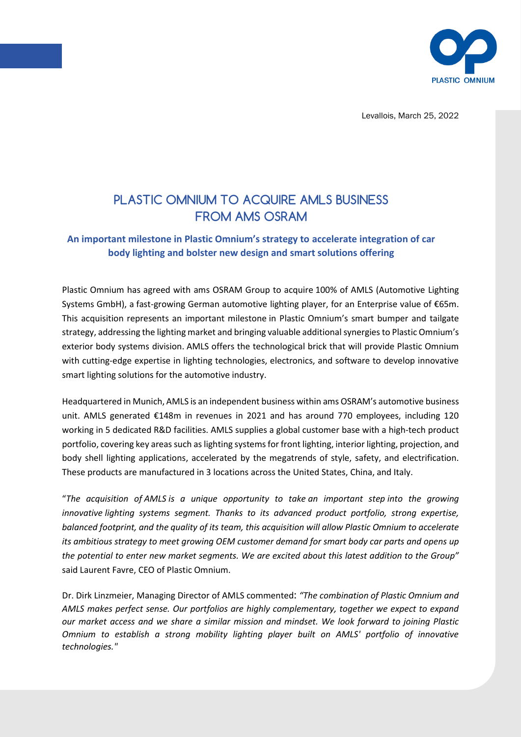

Levallois, March 25, 2022

# PLASTIC OMNIUM TO ACQUIRE AMLS BUSINESS FROM AMS OSRAM

## **An important milestone in Plastic Omnium's strategy to accelerate integration of car body lighting and bolster new design and smart solutions offering**

Plastic Omnium has agreed with ams OSRAM Group to acquire 100% of AMLS (Automotive Lighting Systems GmbH), a fast-growing German automotive lighting player, for an Enterprise value of €65m. This acquisition represents an important milestone in Plastic Omnium's smart bumper and tailgate strategy, addressing the lighting market and bringing valuable additional synergies to Plastic Omnium's exterior body systems division. AMLS offers the technological brick that will provide Plastic Omnium with cutting-edge expertise in lighting technologies, electronics, and software to develop innovative smart lighting solutions for the automotive industry.

Headquartered in Munich, AMLS is an independent business within ams OSRAM's automotive business unit. AMLS generated €148m in revenues in 2021 and has around 770 employees, including 120 working in 5 dedicated R&D facilities. AMLS supplies a global customer base with a high-tech product portfolio, covering key areas such as lighting systems for front lighting, interior lighting, projection, and body shell lighting applications, accelerated by the megatrends of style, safety, and electrification. These products are manufactured in 3 locations across the United States, China, and Italy.

"*The acquisition of AMLS is a unique opportunity to take an important step into the growing innovative lighting systems segment. Thanks to its advanced product portfolio, strong expertise, balanced footprint, and the quality of its team, this acquisition will allow Plastic Omnium to accelerate its ambitious strategy to meet growing OEM customer demand for smart body car parts and opens up the potential to enter new market segments. We are excited about this latest addition to the Group"*  said Laurent Favre, CEO of Plastic Omnium.

Dr. Dirk Linzmeier, Managing Director of AMLS commented: *"The combination of Plastic Omnium and AMLS makes perfect sense. Our portfolios are highly complementary, together we expect to expand our market access and we share a similar mission and mindset. We look forward to joining Plastic Omnium to establish a strong mobility lighting player built on AMLS' portfolio of innovative technologies."*